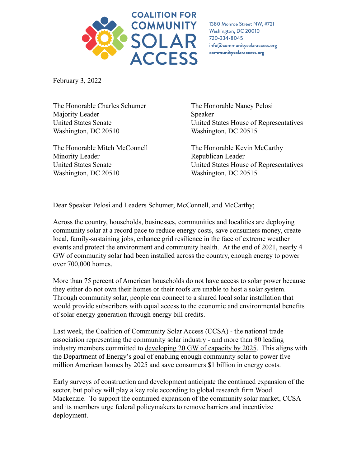

1380 Monroe Street NW, #721 Washington, DC 20010 720-334-8045 info@communitysolaraccess.org communitysolaraccess.org

February 3, 2022

The Honorable Charles Schumer Majority Leader United States Senate Washington, DC 20510

The Honorable Mitch McConnell Minority Leader United States Senate Washington, DC 20510

The Honorable Nancy Pelosi Speaker United States House of Representatives Washington, DC 20515

The Honorable Kevin McCarthy Republican Leader United States House of Representatives Washington, DC 20515

Dear Speaker Pelosi and Leaders Schumer, McConnell, and McCarthy;

Across the country, households, businesses, communities and localities are deploying community solar at a record pace to reduce energy costs, save consumers money, create local, family-sustaining jobs, enhance grid resilience in the face of extreme weather events and protect the environment and community health. At the end of 2021, nearly 4 GW of community solar had been installed across the country, enough energy to power over 700,000 homes.

More than 75 percent of American households do not have access to solar power because they either do not own their homes or their roofs are unable to host a solar system. Through community solar, people can connect to a shared local solar installation that would provide subscribers with equal access to the economic and environmental benefits of solar energy generation through energy bill credits.

Last week, the Coalition of Community Solar Access (CCSA) - the national trade association representing the community solar industry - and more than 80 leading industry members committed to [developing 20 GW of](https://www.communitysolaraccess.org/community-solar-industry-commits-to-develop-20-gw-of-capacity-by-2025-in-alignment-with-u-s-department-of-energy-goals/) capacity by 2025. This aligns with the Department of Energy's goal of enabling enough community solar to power five million American homes by 2025 and save consumers \$1 billion in energy costs.

Early surveys of construction and development anticipate the continued expansion of the sector, but policy will play a key role according to global research firm Wood Mackenzie. To support the continued expansion of the community solar market, CCSA and its members urge federal policymakers to remove barriers and incentivize deployment.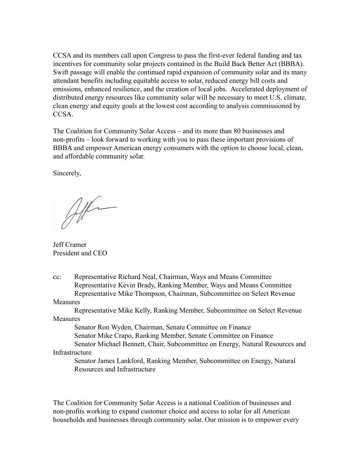CCSA and its members call upon Congress to pass the first-ever federal funding and tax incentives for community solar projects contained in the Build Back Better Act (BBBA). Swift passage will enable the continued rapid expansion of community solar and its many attendant benefits including equitable access to solar, reduced energy bill costs and emissions, enhanced resilience, and the creation of local jobs. Accelerated deployment of distributed energy resources like community solar will be necessary to meet U.S. climate, clean energy and equity goals at the lowest cost according to analysis commissioned by CCSA.

The Coalition for Community Solar Access – and its more than 80 businesses and non-profits – look forward to working with you to pass these important provisions of BBBA and empower American energy consumers with the option to choose local, clean, and affordable community solar.

Sincerely,

Alla

Jeff Cramer President and CEO

cc: Representative Richard Neal, Chairman, Ways and Means Committee Representative Kevin Brady, Ranking Member, Ways and Means Committee Representative Mike Thompson, Chairman, Subcommittee on Select Revenue

## Measures

Representative Mike Kelly, Ranking Member, Subcommittee on Select Revenue **Measures** 

Senator Ron Wyden, Chairman, Senate Committee on Finance

Senator Mike Crapo, Ranking Member, Senate Committee on Finance

Senator Michael Bennett, Chair, Subcommittee on Energy, Natural Resources and Infrastructure

Senator James Lankford, Ranking Member, Subcommittee on Energy, Natural Resources and Infrastructure

The Coalition for Community Solar Access is a national Coalition of businesses and non-profits working to expand customer choice and access to solar for all American households and businesses through community solar. Our mission is to empower every